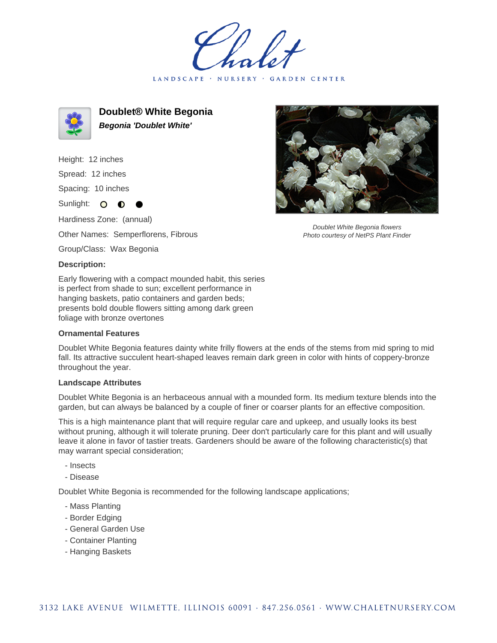LANDSCAPE · NURSERY GARDEN CENTER



**Doublet® White Begonia Begonia 'Doublet White'**

Height: 12 inches

Spread: 12 inches

Spacing: 10 inches

Sunlight: O **O** 

Hardiness Zone: (annual)

Other Names: Semperflorens, Fibrous

Group/Class: Wax Begonia

## **Description:**

Early flowering with a compact mounded habit, this series is perfect from shade to sun; excellent performance in hanging baskets, patio containers and garden beds; presents bold double flowers sitting among dark green foliage with bronze overtones

## **Ornamental Features**

Doublet White Begonia features dainty white frilly flowers at the ends of the stems from mid spring to mid fall. Its attractive succulent heart-shaped leaves remain dark green in color with hints of coppery-bronze throughout the year.

## **Landscape Attributes**

Doublet White Begonia is an herbaceous annual with a mounded form. Its medium texture blends into the garden, but can always be balanced by a couple of finer or coarser plants for an effective composition.

This is a high maintenance plant that will require regular care and upkeep, and usually looks its best without pruning, although it will tolerate pruning. Deer don't particularly care for this plant and will usually leave it alone in favor of tastier treats. Gardeners should be aware of the following characteristic(s) that may warrant special consideration;

- Insects
- Disease

Doublet White Begonia is recommended for the following landscape applications;

- Mass Planting
- Border Edging
- General Garden Use
- Container Planting
- Hanging Baskets



Doublet White Begonia flowers Photo courtesy of NetPS Plant Finder